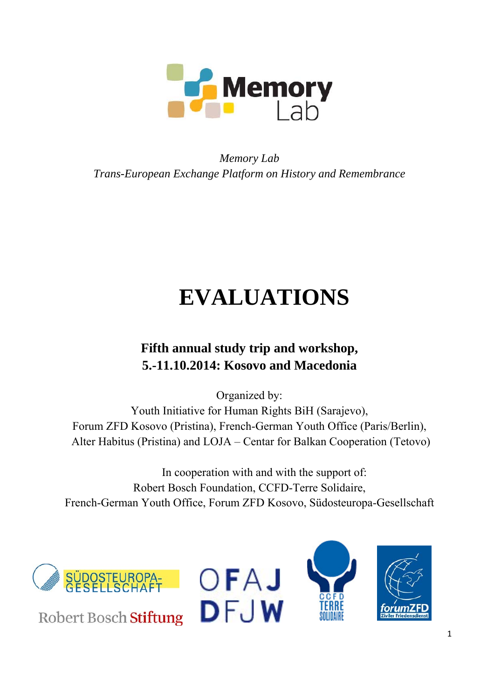

# *Memory Lab Trans-European Exchange Platform on History and Remembrance*

# **EVALUATIONS**

# **Fifth annual study trip and workshop, 5.-11.10.2014: Kosovo and Macedonia**

Organized by: Youth Initiative for Human Rights BiH (Sarajevo), Forum ZFD Kosovo (Pristina), French-German Youth Office (Paris/Berlin), Alter Habitus (Pristina) and LOJA – Centar for Balkan Cooperation (Tetovo)

In cooperation with and with the support of: Robert Bosch Foundation, CCFD-Terre Solidaire, French-German Youth Office, Forum ZFD Kosovo, Südosteuropa-Gesellschaft







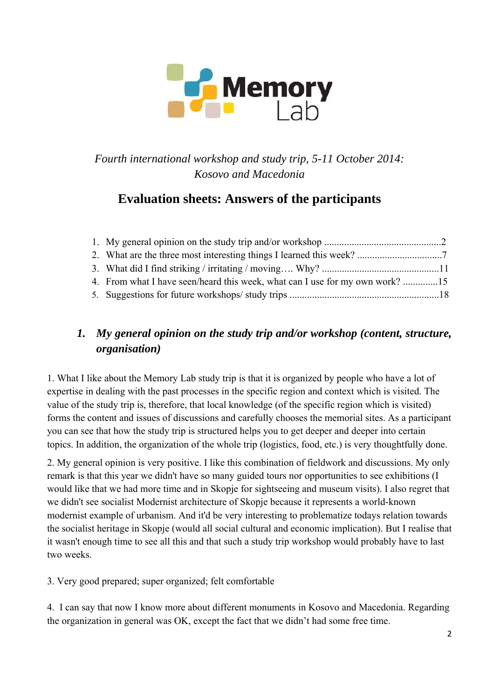

*Fourth international workshop and study trip, 5-11 October 2014: Kosovo and Macedonia*

## **Evaluation sheets: Answers of the participants**

## *1. My general opinion on the study trip and/or workshop (content, structure, organisation)*

1. What I like about the Memory Lab study trip is that it is organized by people who have a lot of expertise in dealing with the past processes in the specific region and context which is visited. The value of the study trip is, therefore, that local knowledge (of the specific region which is visited) forms the content and issues of discussions and carefully chooses the memorial sites. As a participant you can see that how the study trip is structured helps you to get deeper and deeper into certain topics. In addition, the organization of the whole trip (logistics, food, etc.) is very thoughtfully done.

2. My general opinion is very positive. I like this combination of fieldwork and discussions. My only remark is that this year we didn't have so many guided tours nor opportunities to see exhibitions (I would like that we had more time and in Skopje for sightseeing and museum visits). I also regret that we didn't see socialist Modernist architecture of Skopje because it represents a world-known modernist example of urbanism. And it'd be very interesting to problematize todays relation towards the socialist heritage in Skopje (would all social cultural and economic implication). But I realise that it wasn't enough time to see all this and that such a study trip workshop would probably have to last two weeks.

3. Very good prepared; super organized; felt comfortable

4. I can say that now I know more about different monuments in Kosovo and Macedonia. Regarding the organization in general was OK, except the fact that we didn't had some free time.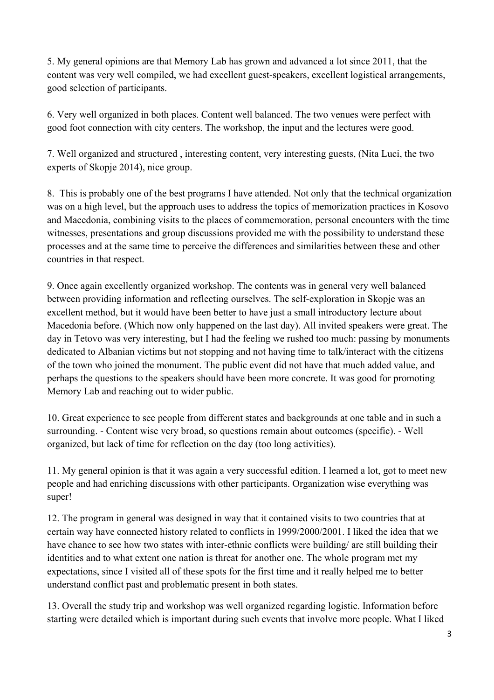5. My general opinions are that Memory Lab has grown and advanced a lot since 2011, that the content was very well compiled, we had excellent guest-speakers, excellent logistical arrangements, good selection of participants.

6. Very well organized in both places. Content well balanced. The two venues were perfect with good foot connection with city centers. The workshop, the input and the lectures were good.

7. Well organized and structured , interesting content, very interesting guests, (Nita Luci, the two experts of Skopje 2014), nice group.

8. This is probably one of the best programs I have attended. Not only that the technical organization was on a high level, but the approach uses to address the topics of memorization practices in Kosovo and Macedonia, combining visits to the places of commemoration, personal encounters with the time witnesses, presentations and group discussions provided me with the possibility to understand these processes and at the same time to perceive the differences and similarities between these and other countries in that respect.

9. Once again excellently organized workshop. The contents was in general very well balanced between providing information and reflecting ourselves. The self-exploration in Skopje was an excellent method, but it would have been better to have just a small introductory lecture about Macedonia before. (Which now only happened on the last day). All invited speakers were great. The day in Tetovo was very interesting, but I had the feeling we rushed too much: passing by monuments dedicated to Albanian victims but not stopping and not having time to talk/interact with the citizens of the town who joined the monument. The public event did not have that much added value, and perhaps the questions to the speakers should have been more concrete. It was good for promoting Memory Lab and reaching out to wider public.

10. Great experience to see people from different states and backgrounds at one table and in such a surrounding. - Content wise very broad, so questions remain about outcomes (specific). - Well organized, but lack of time for reflection on the day (too long activities).

11. My general opinion is that it was again a very successful edition. I learned a lot, got to meet new people and had enriching discussions with other participants. Organization wise everything was super!

12. The program in general was designed in way that it contained visits to two countries that at certain way have connected history related to conflicts in 1999/2000/2001. I liked the idea that we have chance to see how two states with inter-ethnic conflicts were building/ are still building their identities and to what extent one nation is threat for another one. The whole program met my expectations, since I visited all of these spots for the first time and it really helped me to better understand conflict past and problematic present in both states.

13. Overall the study trip and workshop was well organized regarding logistic. Information before starting were detailed which is important during such events that involve more people. What I liked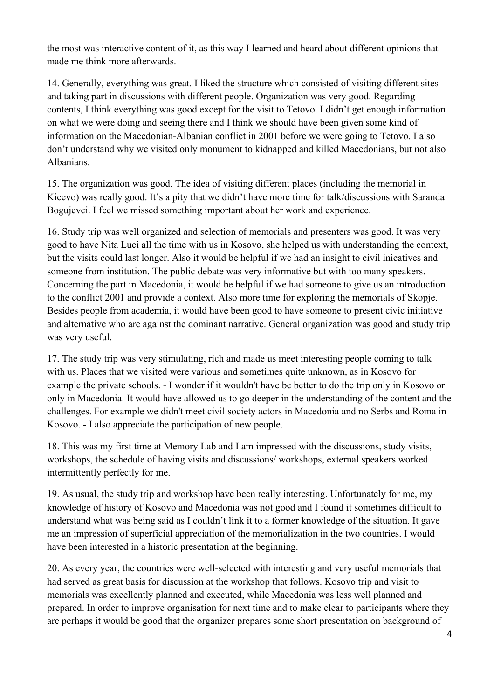the most was interactive content of it, as this way I learned and heard about different opinions that made me think more afterwards.

14. Generally, everything was great. I liked the structure which consisted of visiting different sites and taking part in discussions with different people. Organization was very good. Regarding contents, I think everything was good except for the visit to Tetovo. I didn't get enough information on what we were doing and seeing there and I think we should have been given some kind of information on the Macedonian-Albanian conflict in 2001 before we were going to Tetovo. I also don't understand why we visited only monument to kidnapped and killed Macedonians, but not also Albanians.

15. The organization was good. The idea of visiting different places (including the memorial in Kicevo) was really good. It's a pity that we didn't have more time for talk/discussions with Saranda Bogujevci. I feel we missed something important about her work and experience.

16. Study trip was well organized and selection of memorials and presenters was good. It was very good to have Nita Luci all the time with us in Kosovo, she helped us with understanding the context, but the visits could last longer. Also it would be helpful if we had an insight to civil inicatives and someone from institution. The public debate was very informative but with too many speakers. Concerning the part in Macedonia, it would be helpful if we had someone to give us an introduction to the conflict 2001 and provide a context. Also more time for exploring the memorials of Skopje. Besides people from academia, it would have been good to have someone to present civic initiative and alternative who are against the dominant narrative. General organization was good and study trip was very useful.

17. The study trip was very stimulating, rich and made us meet interesting people coming to talk with us. Places that we visited were various and sometimes quite unknown*,* as in Kosovo for example the private schools. - I wonder if it wouldn't have be better to do the trip only in Kosovo or only in Macedonia. It would have allowed us to go deeper in the understanding of the content and the challenges. For example we didn't meet civil society actors in Macedonia and no Serbs and Roma in Kosovo. - I also appreciate the participation of new people.

18. This was my first time at Memory Lab and I am impressed with the discussions, study visits, workshops, the schedule of having visits and discussions/ workshops, external speakers worked intermittently perfectly for me.

19. As usual, the study trip and workshop have been really interesting. Unfortunately for me, my knowledge of history of Kosovo and Macedonia was not good and I found it sometimes difficult to understand what was being said as I couldn't link it to a former knowledge of the situation. It gave me an impression of superficial appreciation of the memorialization in the two countries. I would have been interested in a historic presentation at the beginning.

20. As every year, the countries were well-selected with interesting and very useful memorials that had served as great basis for discussion at the workshop that follows. Kosovo trip and visit to memorials was excellently planned and executed, while Macedonia was less well planned and prepared. In order to improve organisation for next time and to make clear to participants where they are perhaps it would be good that the organizer prepares some short presentation on background of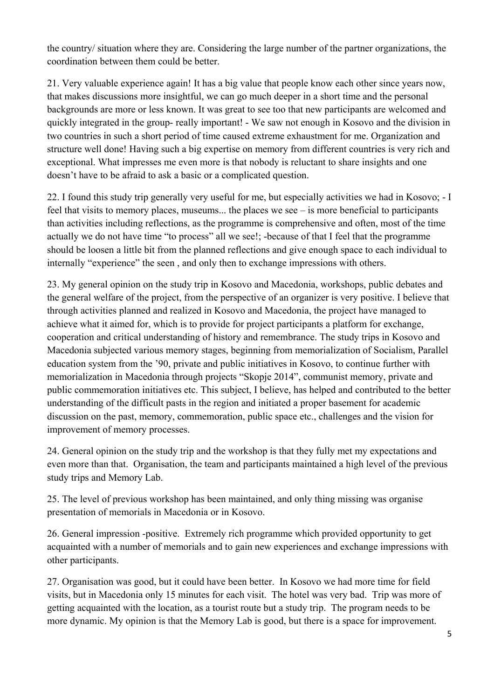the country/ situation where they are. Considering the large number of the partner organizations, the coordination between them could be better.

21. Very valuable experience again! It has a big value that people know each other since years now, that makes discussions more insightful, we can go much deeper in a short time and the personal backgrounds are more or less known. It was great to see too that new participants are welcomed and quickly integrated in the group- really important! - We saw not enough in Kosovo and the division in two countries in such a short period of time caused extreme exhaustment for me. Organization and structure well done! Having such a big expertise on memory from different countries is very rich and exceptional. What impresses me even more is that nobody is reluctant to share insights and one doesn't have to be afraid to ask a basic or a complicated question.

22. I found this study trip generally very useful for me, but especially activities we had in Kosovo; - I feel that visits to memory places, museums... the places we see – is more beneficial to participants than activities including reflections, as the programme is comprehensive and often, most of the time actually we do not have time "to process" all we see!; -because of that I feel that the programme should be loosen a little bit from the planned reflections and give enough space to each individual to internally "experience" the seen , and only then to exchange impressions with others.

23. My general opinion on the study trip in Kosovo and Macedonia, workshops, public debates and the general welfare of the project, from the perspective of an organizer is very positive. I believe that through activities planned and realized in Kosovo and Macedonia, the project have managed to achieve what it aimed for, which is to provide for project participants a platform for exchange, cooperation and critical understanding of history and remembrance. The study trips in Kosovo and Macedonia subjected various memory stages, beginning from memorialization of Socialism, Parallel education system from the '90, private and public initiatives in Kosovo, to continue further with memorialization in Macedonia through projects "Skopje 2014", communist memory, private and public commemoration initiatives etc. This subject, I believe, has helped and contributed to the better understanding of the difficult pasts in the region and initiated a proper basement for academic discussion on the past, memory, commemoration, public space etc., challenges and the vision for improvement of memory processes.

24. General opinion on the study trip and the workshop is that they fully met my expectations and even more than that. Organisation, the team and participants maintained a high level of the previous study trips and Memory Lab.

25. The level of previous workshop has been maintained, and only thing missing was organise presentation of memorials in Macedonia or in Kosovo.

26. General impression -positive. Extremely rich programme which provided opportunity to get acquainted with a number of memorials and to gain new experiences and exchange impressions with other participants.

27. Organisation was good, but it could have been better. In Kosovo we had more time for field visits, but in Macedonia only 15 minutes for each visit. The hotel was very bad. Trip was more of getting acquainted with the location, as a tourist route but a study trip. The program needs to be more dynamic. My opinion is that the Memory Lab is good, but there is a space for improvement.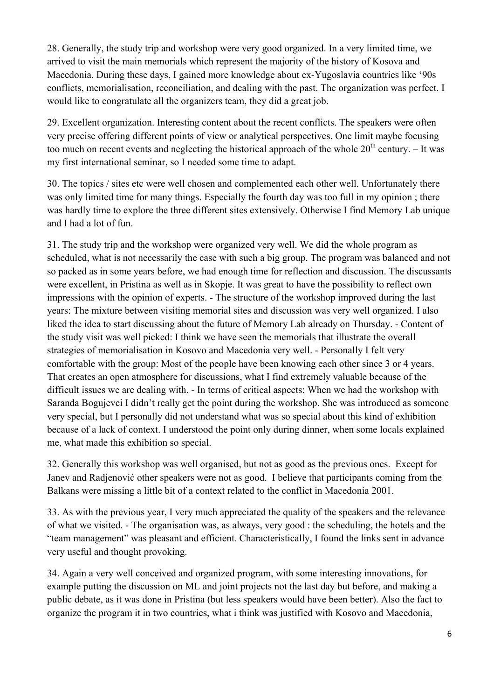28. Generally, the study trip and workshop were very good organized. In a very limited time, we arrived to visit the main memorials which represent the majority of the history of Kosova and Macedonia. During these days, I gained more knowledge about ex-Yugoslavia countries like '90s conflicts, memorialisation, reconciliation, and dealing with the past. The organization was perfect. I would like to congratulate all the organizers team, they did a great job.

29. Excellent organization. Interesting content about the recent conflicts. The speakers were often very precise offering different points of view or analytical perspectives. One limit maybe focusing too much on recent events and neglecting the historical approach of the whole  $20<sup>th</sup>$  century. – It was my first international seminar, so I needed some time to adapt.

30. The topics / sites etc were well chosen and complemented each other well. Unfortunately there was only limited time for many things. Especially the fourth day was too full in my opinion ; there was hardly time to explore the three different sites extensively. Otherwise I find Memory Lab unique and I had a lot of fun.

31. The study trip and the workshop were organized very well. We did the whole program as scheduled, what is not necessarily the case with such a big group. The program was balanced and not so packed as in some years before, we had enough time for reflection and discussion. The discussants were excellent, in Pristina as well as in Skopje. It was great to have the possibility to reflect own impressions with the opinion of experts. - The structure of the workshop improved during the last years: The mixture between visiting memorial sites and discussion was very well organized. I also liked the idea to start discussing about the future of Memory Lab already on Thursday. - Content of the study visit was well picked: I think we have seen the memorials that illustrate the overall strategies of memorialisation in Kosovo and Macedonia very well. - Personally I felt very comfortable with the group: Most of the people have been knowing each other since 3 or 4 years. That creates an open atmosphere for discussions, what I find extremely valuable because of the difficult issues we are dealing with. - In terms of critical aspects: When we had the workshop with Saranda Bogujevci I didn't really get the point during the workshop. She was introduced as someone very special, but I personally did not understand what was so special about this kind of exhibition because of a lack of context. I understood the point only during dinner, when some locals explained me, what made this exhibition so special.

32. Generally this workshop was well organised, but not as good as the previous ones. Except for Janev and Radjenović other speakers were not as good. I believe that participants coming from the Balkans were missing a little bit of a context related to the conflict in Macedonia 2001.

33. As with the previous year, I very much appreciated the quality of the speakers and the relevance of what we visited. - The organisation was, as always, very good : the scheduling, the hotels and the "team management" was pleasant and efficient. Characteristically, I found the links sent in advance very useful and thought provoking.

34. Again a very well conceived and organized program, with some interesting innovations, for example putting the discussion on ML and joint projects not the last day but before, and making a public debate, as it was done in Pristina (but less speakers would have been better). Also the fact to organize the program it in two countries, what i think was justified with Kosovo and Macedonia,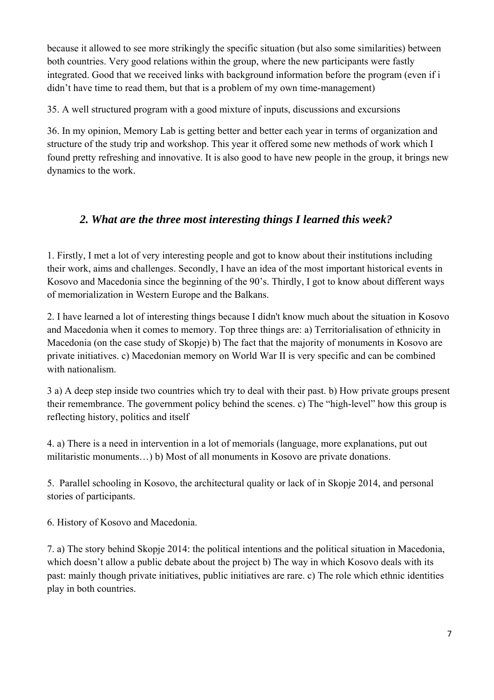because it allowed to see more strikingly the specific situation (but also some similarities) between both countries. Very good relations within the group, where the new participants were fastly integrated. Good that we received links with background information before the program (even if i didn't have time to read them, but that is a problem of my own time-management)

35. A well structured program with a good mixture of inputs, discussions and excursions

36. In my opinion, Memory Lab is getting better and better each year in terms of organization and structure of the study trip and workshop. This year it offered some new methods of work which I found pretty refreshing and innovative. It is also good to have new people in the group, it brings new dynamics to the work.

#### *2. What are the three most interesting things I learned this week?*

1. Firstly, I met a lot of very interesting people and got to know about their institutions including their work, aims and challenges. Secondly, I have an idea of the most important historical events in Kosovo and Macedonia since the beginning of the 90's. Thirdly, I got to know about different ways of memorialization in Western Europe and the Balkans.

2. I have learned a lot of interesting things because I didn't know much about the situation in Kosovo and Macedonia when it comes to memory. Top three things are: a) Territorialisation of ethnicity in Macedonia (on the case study of Skopje) b) The fact that the majority of monuments in Kosovo are private initiatives. c) Macedonian memory on World War II is very specific and can be combined with nationalism.

3 a) A deep step inside two countries which try to deal with their past. b) How private groups present their remembrance. The government policy behind the scenes. c) The "high-level" how this group is reflecting history, politics and itself

4. a) There is a need in intervention in a lot of memorials (language, more explanations, put out militaristic monuments…) b) Most of all monuments in Kosovo are private donations.

5. Parallel schooling in Kosovo, the architectural quality or lack of in Skopje 2014, and personal stories of participants.

6. History of Kosovo and Macedonia.

7. a) The story behind Skopje 2014: the political intentions and the political situation in Macedonia, which doesn't allow a public debate about the project b) The way in which Kosovo deals with its past: mainly though private initiatives, public initiatives are rare. c) The role which ethnic identities play in both countries.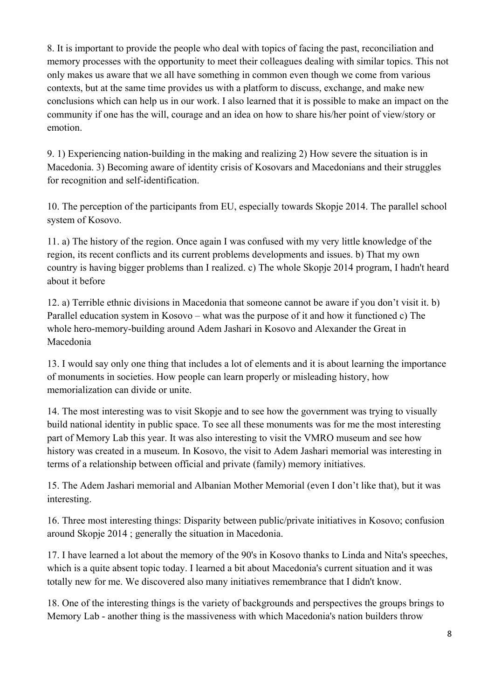8. It is important to provide the people who deal with topics of facing the past, reconciliation and memory processes with the opportunity to meet their colleagues dealing with similar topics. This not only makes us aware that we all have something in common even though we come from various contexts, but at the same time provides us with a platform to discuss, exchange, and make new conclusions which can help us in our work. I also learned that it is possible to make an impact on the community if one has the will, courage and an idea on how to share his/her point of view/story or emotion.

9. 1) Experiencing nation-building in the making and realizing 2) How severe the situation is in Macedonia. 3) Becoming aware of identity crisis of Kosovars and Macedonians and their struggles for recognition and self-identification.

10. The perception of the participants from EU, especially towards Skopje 2014. The parallel school system of Kosovo.

11. a) The history of the region. Once again I was confused with my very little knowledge of the region, its recent conflicts and its current problems developments and issues. b) That my own country is having bigger problems than I realized. c) The whole Skopje 2014 program, I hadn't heard about it before

12. a) Terrible ethnic divisions in Macedonia that someone cannot be aware if you don't visit it. b) Parallel education system in Kosovo – what was the purpose of it and how it functioned c) The whole hero-memory-building around Adem Jashari in Kosovo and Alexander the Great in Macedonia

13. I would say only one thing that includes a lot of elements and it is about learning the importance of monuments in societies. How people can learn properly or misleading history, how memorialization can divide or unite.

14. The most interesting was to visit Skopje and to see how the government was trying to visually build national identity in public space. To see all these monuments was for me the most interesting part of Memory Lab this year. It was also interesting to visit the VMRO museum and see how history was created in a museum. In Kosovo, the visit to Adem Jashari memorial was interesting in terms of a relationship between official and private (family) memory initiatives.

15. The Adem Jashari memorial and Albanian Mother Memorial (even I don't like that), but it was interesting.

16. Three most interesting things: Disparity between public/private initiatives in Kosovo; confusion around Skopje 2014 ; generally the situation in Macedonia.

17. I have learned a lot about the memory of the 90's in Kosovo thanks to Linda and Nita's speeches, which is a quite absent topic today. I learned a bit about Macedonia's current situation and it was totally new for me. We discovered also many initiatives remembrance that I didn't know.

18. One of the interesting things is the variety of backgrounds and perspectives the groups brings to Memory Lab - another thing is the massiveness with which Macedonia's nation builders throw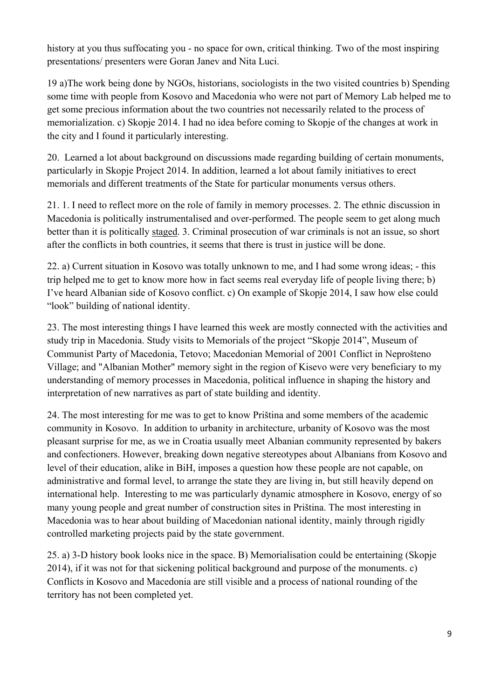history at you thus suffocating you - no space for own, critical thinking. Two of the most inspiring presentations/ presenters were Goran Janev and Nita Luci.

19 a)The work being done by NGOs, historians, sociologists in the two visited countries b) Spending some time with people from Kosovo and Macedonia who were not part of Memory Lab helped me to get some precious information about the two countries not necessarily related to the process of memorialization. c) Skopje 2014. I had no idea before coming to Skopje of the changes at work in the city and I found it particularly interesting.

20. Learned a lot about background on discussions made regarding building of certain monuments, particularly in Skopje Project 2014. In addition, learned a lot about family initiatives to erect memorials and different treatments of the State for particular monuments versus others.

21. 1. I need to reflect more on the role of family in memory processes. 2. The ethnic discussion in Macedonia is politically instrumentalised and over-performed. The people seem to get along much better than it is politically staged. 3. Criminal prosecution of war criminals is not an issue, so short after the conflicts in both countries, it seems that there is trust in justice will be done.

22. a) Current situation in Kosovo was totally unknown to me, and I had some wrong ideas; - this trip helped me to get to know more how in fact seems real everyday life of people living there; b) I've heard Albanian side of Kosovo conflict. c) On example of Skopje 2014, I saw how else could "look" building of national identity.

23. The most interesting things I have learned this week are mostly connected with the activities and study trip in Macedonia. Study visits to Memorials of the project "Skopje 2014", Museum of Communist Party of Macedonia, Tetovo; Macedonian Memorial of 2001 Conflict in Neprošteno Village; and "Albanian Mother" memory sight in the region of Kisevo were very beneficiary to my understanding of memory processes in Macedonia, political influence in shaping the history and interpretation of new narratives as part of state building and identity.

24. The most interesting for me was to get to know Priština and some members of the academic community in Kosovo. In addition to urbanity in architecture, urbanity of Kosovo was the most pleasant surprise for me, as we in Croatia usually meet Albanian community represented by bakers and confectioners. However, breaking down negative stereotypes about Albanians from Kosovo and level of their education, alike in BiH, imposes a question how these people are not capable, on administrative and formal level, to arrange the state they are living in, but still heavily depend on international help. Interesting to me was particularly dynamic atmosphere in Kosovo, energy of so many young people and great number of construction sites in Priština. The most interesting in Macedonia was to hear about building of Macedonian national identity, mainly through rigidly controlled marketing projects paid by the state government.

25. a) 3-D history book looks nice in the space. B) Memorialisation could be entertaining (Skopje 2014), if it was not for that sickening political background and purpose of the monuments. c) Conflicts in Kosovo and Macedonia are still visible and a process of national rounding of the territory has not been completed yet.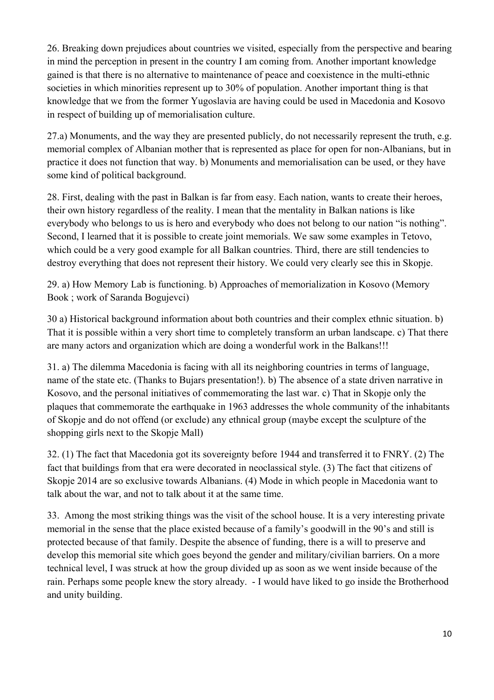26. Breaking down prejudices about countries we visited, especially from the perspective and bearing in mind the perception in present in the country I am coming from. Another important knowledge gained is that there is no alternative to maintenance of peace and coexistence in the multi-ethnic societies in which minorities represent up to 30% of population. Another important thing is that knowledge that we from the former Yugoslavia are having could be used in Macedonia and Kosovo in respect of building up of memorialisation culture.

27.a) Monuments, and the way they are presented publicly, do not necessarily represent the truth, e.g. memorial complex of Albanian mother that is represented as place for open for non-Albanians, but in practice it does not function that way. b) Monuments and memorialisation can be used, or they have some kind of political background.

28. First, dealing with the past in Balkan is far from easy. Each nation, wants to create their heroes, their own history regardless of the reality. I mean that the mentality in Balkan nations is like everybody who belongs to us is hero and everybody who does not belong to our nation "is nothing". Second, I learned that it is possible to create joint memorials. We saw some examples in Tetovo, which could be a very good example for all Balkan countries. Third, there are still tendencies to destroy everything that does not represent their history. We could very clearly see this in Skopje.

29. a) How Memory Lab is functioning. b) Approaches of memorialization in Kosovo (Memory Book ; work of Saranda Bogujevci)

30 a) Historical background information about both countries and their complex ethnic situation. b) That it is possible within a very short time to completely transform an urban landscape. c) That there are many actors and organization which are doing a wonderful work in the Balkans!!!

31. a) The dilemma Macedonia is facing with all its neighboring countries in terms of language, name of the state etc. (Thanks to Bujars presentation!). b) The absence of a state driven narrative in Kosovo, and the personal initiatives of commemorating the last war. c) That in Skopje only the plaques that commemorate the earthquake in 1963 addresses the whole community of the inhabitants of Skopje and do not offend (or exclude) any ethnical group (maybe except the sculpture of the shopping girls next to the Skopje Mall)

32. (1) The fact that Macedonia got its sovereignty before 1944 and transferred it to FNRY. (2) The fact that buildings from that era were decorated in neoclassical style. (3) The fact that citizens of Skopje 2014 are so exclusive towards Albanians. (4) Mode in which people in Macedonia want to talk about the war, and not to talk about it at the same time.

33.Among the most striking things was the visit of the school house. It is a very interesting private memorial in the sense that the place existed because of a family's goodwill in the 90's and still is protected because of that family. Despite the absence of funding, there is a will to preserve and develop this memorial site which goes beyond the gender and military/civilian barriers. On a more technical level, I was struck at how the group divided up as soon as we went inside because of the rain. Perhaps some people knew the story already. - I would have liked to go inside the Brotherhood and unity building.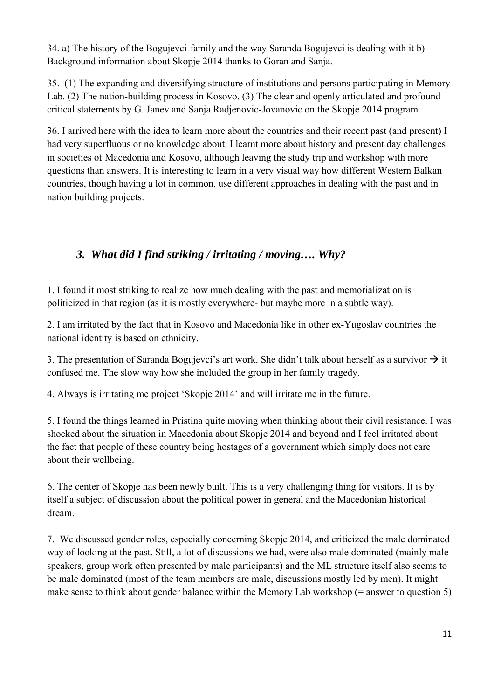34. a) The history of the Bogujevci-family and the way Saranda Bogujevci is dealing with it b) Background information about Skopje 2014 thanks to Goran and Sanja.

35. (1) The expanding and diversifying structure of institutions and persons participating in Memory Lab. (2) The nation-building process in Kosovo. (3) The clear and openly articulated and profound critical statements by G. Janev and Sanja Radjenovic-Jovanovic on the Skopje 2014 program

36. I arrived here with the idea to learn more about the countries and their recent past (and present) I had very superfluous or no knowledge about. I learnt more about history and present day challenges in societies of Macedonia and Kosovo, although leaving the study trip and workshop with more questions than answers. It is interesting to learn in a very visual way how different Western Balkan countries, though having a lot in common, use different approaches in dealing with the past and in nation building projects.

#### *3. What did I find striking / irritating / moving…. Why?*

1. I found it most striking to realize how much dealing with the past and memorialization is politicized in that region (as it is mostly everywhere- but maybe more in a subtle way).

2. I am irritated by the fact that in Kosovo and Macedonia like in other ex-Yugoslav countries the national identity is based on ethnicity.

3. The presentation of Saranda Bogujevci's art work. She didn't talk about herself as a survivor  $\rightarrow$  it confused me. The slow way how she included the group in her family tragedy.

4. Always is irritating me project 'Skopje 2014' and will irritate me in the future.

5. I found the things learned in Pristina quite moving when thinking about their civil resistance. I was shocked about the situation in Macedonia about Skopje 2014 and beyond and I feel irritated about the fact that people of these country being hostages of a government which simply does not care about their wellbeing.

6. The center of Skopje has been newly built. This is a very challenging thing for visitors. It is by itself a subject of discussion about the political power in general and the Macedonian historical dream.

7. We discussed gender roles, especially concerning Skopje 2014, and criticized the male dominated way of looking at the past. Still, a lot of discussions we had, were also male dominated (mainly male speakers, group work often presented by male participants) and the ML structure itself also seems to be male dominated (most of the team members are male, discussions mostly led by men). It might make sense to think about gender balance within the Memory Lab workshop  $(=$  answer to question 5)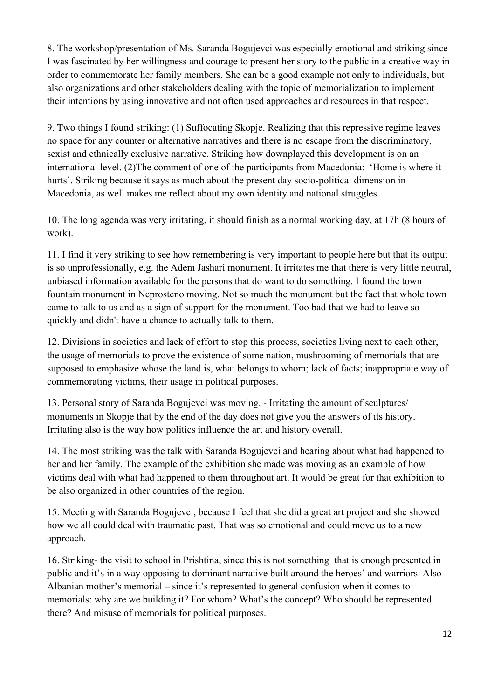8. The workshop/presentation of Ms. Saranda Bogujevci was especially emotional and striking since I was fascinated by her willingness and courage to present her story to the public in a creative way in order to commemorate her family members. She can be a good example not only to individuals, but also organizations and other stakeholders dealing with the topic of memorialization to implement their intentions by using innovative and not often used approaches and resources in that respect.

9. Two things I found striking: (1) Suffocating Skopje. Realizing that this repressive regime leaves no space for any counter or alternative narratives and there is no escape from the discriminatory, sexist and ethnically exclusive narrative. Striking how downplayed this development is on an international level. (2)The comment of one of the participants from Macedonia: 'Home is where it hurts'. Striking because it says as much about the present day socio-political dimension in Macedonia, as well makes me reflect about my own identity and national struggles.

10. The long agenda was very irritating, it should finish as a normal working day, at 17h (8 hours of work).

11. I find it very striking to see how remembering is very important to people here but that its output is so unprofessionally, e.g. the Adem Jashari monument. It irritates me that there is very little neutral, unbiased information available for the persons that do want to do something. I found the town fountain monument in Neprosteno moving. Not so much the monument but the fact that whole town came to talk to us and as a sign of support for the monument. Too bad that we had to leave so quickly and didn't have a chance to actually talk to them.

12. Divisions in societies and lack of effort to stop this process, societies living next to each other, the usage of memorials to prove the existence of some nation, mushrooming of memorials that are supposed to emphasize whose the land is, what belongs to whom; lack of facts; inappropriate way of commemorating victims, their usage in political purposes.

13. Personal story of Saranda Bogujevci was moving. - Irritating the amount of sculptures/ monuments in Skopje that by the end of the day does not give you the answers of its history. Irritating also is the way how politics influence the art and history overall.

14. The most striking was the talk with Saranda Bogujevci and hearing about what had happened to her and her family. The example of the exhibition she made was moving as an example of how victims deal with what had happened to them throughout art. It would be great for that exhibition to be also organized in other countries of the region.

15. Meeting with Saranda Bogujevci, because I feel that she did a great art project and she showed how we all could deal with traumatic past. That was so emotional and could move us to a new approach.

16. Striking- the visit to school in Prishtina, since this is not something that is enough presented in public and it's in a way opposing to dominant narrative built around the heroes' and warriors. Also Albanian mother's memorial – since it's represented to general confusion when it comes to memorials: why are we building it? For whom? What's the concept? Who should be represented there? And misuse of memorials for political purposes.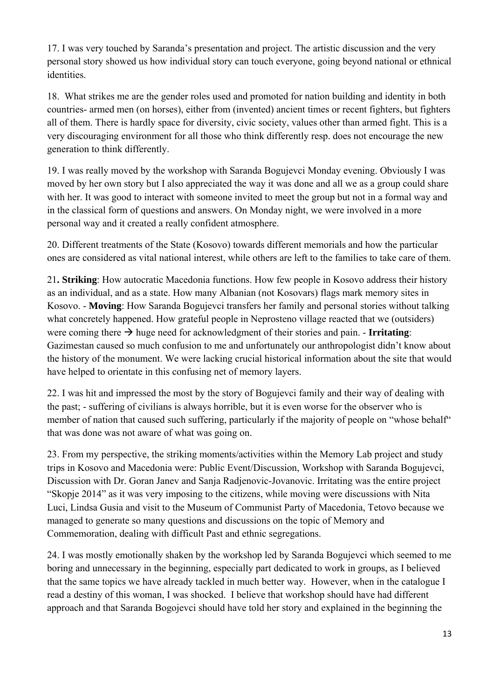17. I was very touched by Saranda's presentation and project. The artistic discussion and the very personal story showed us how individual story can touch everyone, going beyond national or ethnical identities.

18. What strikes me are the gender roles used and promoted for nation building and identity in both countries- armed men (on horses), either from (invented) ancient times or recent fighters, but fighters all of them. There is hardly space for diversity, civic society, values other than armed fight. This is a very discouraging environment for all those who think differently resp. does not encourage the new generation to think differently.

19. I was really moved by the workshop with Saranda Bogujevci Monday evening. Obviously I was moved by her own story but I also appreciated the way it was done and all we as a group could share with her. It was good to interact with someone invited to meet the group but not in a formal way and in the classical form of questions and answers. On Monday night, we were involved in a more personal way and it created a really confident atmosphere.

20. Different treatments of the State (Kosovo) towards different memorials and how the particular ones are considered as vital national interest, while others are left to the families to take care of them.

21**. Striking**: How autocratic Macedonia functions. How few people in Kosovo address their history as an individual, and as a state. How many Albanian (not Kosovars) flags mark memory sites in Kosovo. - **Moving**: How Saranda Bogujevci transfers her family and personal stories without talking what concretely happened. How grateful people in Neprosteno village reacted that we (outsiders) were coming there  $\rightarrow$  huge need for acknowledgment of their stories and pain. - **Irritating**: Gazimestan caused so much confusion to me and unfortunately our anthropologist didn't know about the history of the monument. We were lacking crucial historical information about the site that would have helped to orientate in this confusing net of memory layers.

22. I was hit and impressed the most by the story of Bogujevci family and their way of dealing with the past; - suffering of civilians is always horrible, but it is even worse for the observer who is member of nation that caused such suffering, particularly if the majority of people on "whose behalf" that was done was not aware of what was going on.

23. From my perspective, the striking moments/activities within the Memory Lab project and study trips in Kosovo and Macedonia were: Public Event/Discussion, Workshop with Saranda Bogujevci, Discussion with Dr. Goran Janev and Sanja Radjenovic-Jovanovic. Irritating was the entire project "Skopje 2014" as it was very imposing to the citizens, while moving were discussions with Nita Luci, Lindsa Gusia and visit to the Museum of Communist Party of Macedonia, Tetovo because we managed to generate so many questions and discussions on the topic of Memory and Commemoration, dealing with difficult Past and ethnic segregations.

24. I was mostly emotionally shaken by the workshop led by Saranda Bogujevci which seemed to me boring and unnecessary in the beginning, especially part dedicated to work in groups, as I believed that the same topics we have already tackled in much better way. However, when in the catalogue I read a destiny of this woman, I was shocked. I believe that workshop should have had different approach and that Saranda Bogojevci should have told her story and explained in the beginning the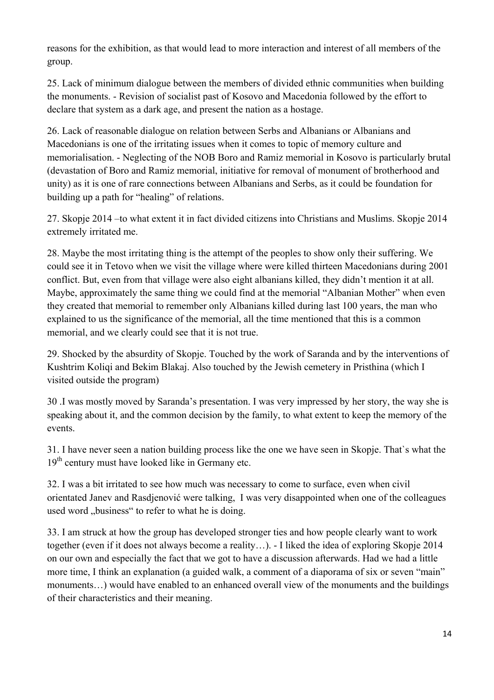reasons for the exhibition, as that would lead to more interaction and interest of all members of the group.

25. Lack of minimum dialogue between the members of divided ethnic communities when building the monuments. - Revision of socialist past of Kosovo and Macedonia followed by the effort to declare that system as a dark age, and present the nation as a hostage.

26. Lack of reasonable dialogue on relation between Serbs and Albanians or Albanians and Macedonians is one of the irritating issues when it comes to topic of memory culture and memorialisation. - Neglecting of the NOB Boro and Ramiz memorial in Kosovo is particularly brutal (devastation of Boro and Ramiz memorial, initiative for removal of monument of brotherhood and unity) as it is one of rare connections between Albanians and Serbs, as it could be foundation for building up a path for "healing" of relations.

27. Skopje 2014 –to what extent it in fact divided citizens into Christians and Muslims. Skopje 2014 extremely irritated me.

28. Maybe the most irritating thing is the attempt of the peoples to show only their suffering. We could see it in Tetovo when we visit the village where were killed thirteen Macedonians during 2001 conflict. But, even from that village were also eight albanians killed, they didn't mention it at all. Maybe, approximately the same thing we could find at the memorial "Albanian Mother" when even they created that memorial to remember only Albanians killed during last 100 years, the man who explained to us the significance of the memorial, all the time mentioned that this is a common memorial, and we clearly could see that it is not true.

29. Shocked by the absurdity of Skopje. Touched by the work of Saranda and by the interventions of Kushtrim Koliqi and Bekim Blakaj. Also touched by the Jewish cemetery in Pristhina (which I visited outside the program)

30 .I was mostly moved by Saranda's presentation. I was very impressed by her story, the way she is speaking about it, and the common decision by the family, to what extent to keep the memory of the events.

31. I have never seen a nation building process like the one we have seen in Skopje. That`s what the 19<sup>th</sup> century must have looked like in Germany etc.

32. I was a bit irritated to see how much was necessary to come to surface, even when civil orientated Janev and Rasdjenović were talking, I was very disappointed when one of the colleagues used word ..business" to refer to what he is doing.

33. I am struck at how the group has developed stronger ties and how people clearly want to work together (even if it does not always become a reality…). - I liked the idea of exploring Skopje 2014 on our own and especially the fact that we got to have a discussion afterwards. Had we had a little more time, I think an explanation (a guided walk, a comment of a diaporama of six or seven "main" monuments…) would have enabled to an enhanced overall view of the monuments and the buildings of their characteristics and their meaning.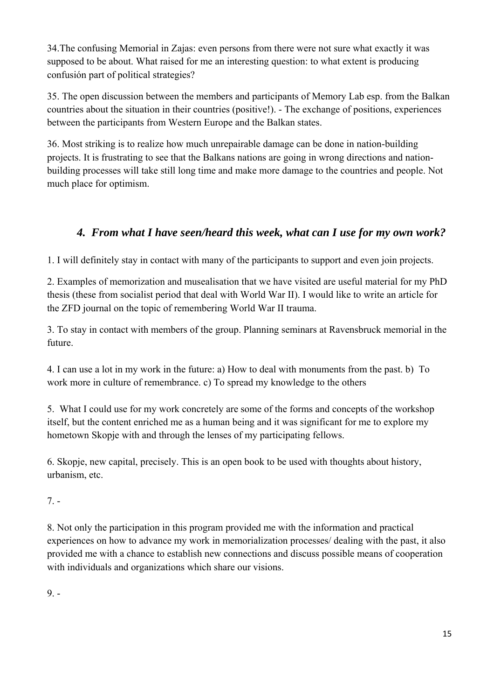34.The confusing Memorial in Zajas: even persons from there were not sure what exactly it was supposed to be about. What raised for me an interesting question: to what extent is producing confusión part of political strategies?

35. The open discussion between the members and participants of Memory Lab esp. from the Balkan countries about the situation in their countries (positive!). - The exchange of positions, experiences between the participants from Western Europe and the Balkan states.

36. Most striking is to realize how much unrepairable damage can be done in nation-building projects. It is frustrating to see that the Balkans nations are going in wrong directions and nationbuilding processes will take still long time and make more damage to the countries and people. Not much place for optimism.

### *4. From what I have seen/heard this week, what can I use for my own work?*

1. I will definitely stay in contact with many of the participants to support and even join projects.

2. Examples of memorization and musealisation that we have visited are useful material for my PhD thesis (these from socialist period that deal with World War II). I would like to write an article for the ZFD journal on the topic of remembering World War II trauma.

3. To stay in contact with members of the group. Planning seminars at Ravensbruck memorial in the future.

4. I can use a lot in my work in the future: a) How to deal with monuments from the past. b) To work more in culture of remembrance. c) To spread my knowledge to the others

5. What I could use for my work concretely are some of the forms and concepts of the workshop itself, but the content enriched me as a human being and it was significant for me to explore my hometown Skopje with and through the lenses of my participating fellows.

6. Skopje, new capital, precisely. This is an open book to be used with thoughts about history, urbanism, etc.

7. -

8. Not only the participation in this program provided me with the information and practical experiences on how to advance my work in memorialization processes/ dealing with the past, it also provided me with a chance to establish new connections and discuss possible means of cooperation with individuals and organizations which share our visions.

 $9. -$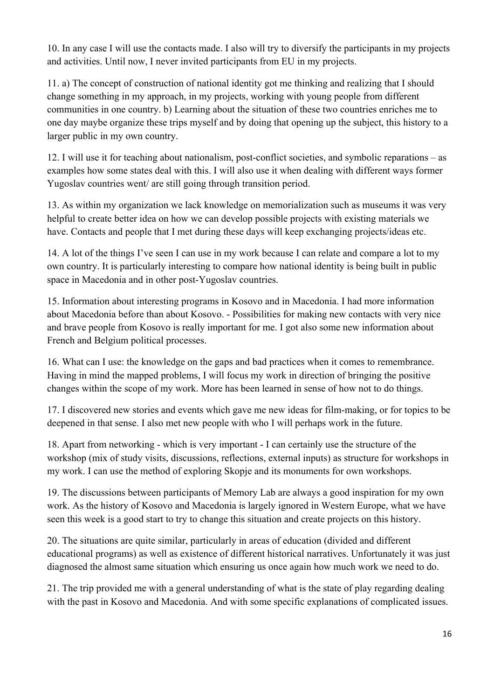10. In any case I will use the contacts made. I also will try to diversify the participants in my projects and activities. Until now, I never invited participants from EU in my projects.

11. a) The concept of construction of national identity got me thinking and realizing that I should change something in my approach, in my projects, working with young people from different communities in one country. b) Learning about the situation of these two countries enriches me to one day maybe organize these trips myself and by doing that opening up the subject, this history to a larger public in my own country.

12. I will use it for teaching about nationalism, post-conflict societies, and symbolic reparations – as examples how some states deal with this. I will also use it when dealing with different ways former Yugoslav countries went/ are still going through transition period.

13. As within my organization we lack knowledge on memorialization such as museums it was very helpful to create better idea on how we can develop possible projects with existing materials we have. Contacts and people that I met during these days will keep exchanging projects/ideas etc.

14. A lot of the things I've seen I can use in my work because I can relate and compare a lot to my own country. It is particularly interesting to compare how national identity is being built in public space in Macedonia and in other post-Yugoslav countries.

15. Information about interesting programs in Kosovo and in Macedonia. I had more information about Macedonia before than about Kosovo. - Possibilities for making new contacts with very nice and brave people from Kosovo is really important for me. I got also some new information about French and Belgium political processes.

16. What can I use: the knowledge on the gaps and bad practices when it comes to remembrance. Having in mind the mapped problems, I will focus my work in direction of bringing the positive changes within the scope of my work. More has been learned in sense of how not to do things.

17. I discovered new stories and events which gave me new ideas for film-making, or for topics to be deepened in that sense. I also met new people with who I will perhaps work in the future.

18. Apart from networking - which is very important - I can certainly use the structure of the workshop (mix of study visits, discussions, reflections, external inputs) as structure for workshops in my work. I can use the method of exploring Skopje and its monuments for own workshops.

19. The discussions between participants of Memory Lab are always a good inspiration for my own work. As the history of Kosovo and Macedonia is largely ignored in Western Europe, what we have seen this week is a good start to try to change this situation and create projects on this history.

20. The situations are quite similar, particularly in areas of education (divided and different educational programs) as well as existence of different historical narratives. Unfortunately it was just diagnosed the almost same situation which ensuring us once again how much work we need to do.

21. The trip provided me with a general understanding of what is the state of play regarding dealing with the past in Kosovo and Macedonia. And with some specific explanations of complicated issues.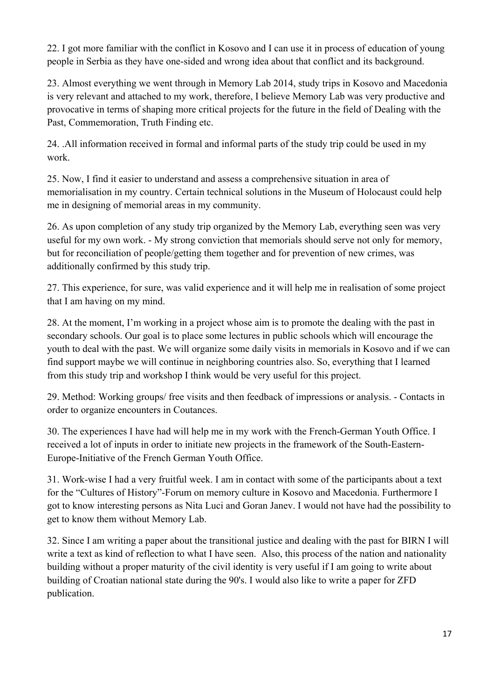22. I got more familiar with the conflict in Kosovo and I can use it in process of education of young people in Serbia as they have one-sided and wrong idea about that conflict and its background.

23. Almost everything we went through in Memory Lab 2014, study trips in Kosovo and Macedonia is very relevant and attached to my work, therefore, I believe Memory Lab was very productive and provocative in terms of shaping more critical projects for the future in the field of Dealing with the Past, Commemoration, Truth Finding etc.

24. .All information received in formal and informal parts of the study trip could be used in my work.

25. Now, I find it easier to understand and assess a comprehensive situation in area of memorialisation in my country. Certain technical solutions in the Museum of Holocaust could help me in designing of memorial areas in my community.

26. As upon completion of any study trip organized by the Memory Lab, everything seen was very useful for my own work. - My strong conviction that memorials should serve not only for memory, but for reconciliation of people/getting them together and for prevention of new crimes, was additionally confirmed by this study trip.

27. This experience, for sure, was valid experience and it will help me in realisation of some project that I am having on my mind.

28. At the moment, I'm working in a project whose aim is to promote the dealing with the past in secondary schools. Our goal is to place some lectures in public schools which will encourage the youth to deal with the past. We will organize some daily visits in memorials in Kosovo and if we can find support maybe we will continue in neighboring countries also. So, everything that I learned from this study trip and workshop I think would be very useful for this project.

29. Method: Working groups/ free visits and then feedback of impressions or analysis. - Contacts in order to organize encounters in Coutances.

30. The experiences I have had will help me in my work with the French-German Youth Office. I received a lot of inputs in order to initiate new projects in the framework of the South-Eastern-Europe-Initiative of the French German Youth Office.

31. Work-wise I had a very fruitful week. I am in contact with some of the participants about a text for the "Cultures of History"-Forum on memory culture in Kosovo and Macedonia. Furthermore I got to know interesting persons as Nita Luci and Goran Janev. I would not have had the possibility to get to know them without Memory Lab.

32. Since I am writing a paper about the transitional justice and dealing with the past for BIRN I will write a text as kind of reflection to what I have seen. Also, this process of the nation and nationality building without a proper maturity of the civil identity is very useful if I am going to write about building of Croatian national state during the 90's. I would also like to write a paper for ZFD publication.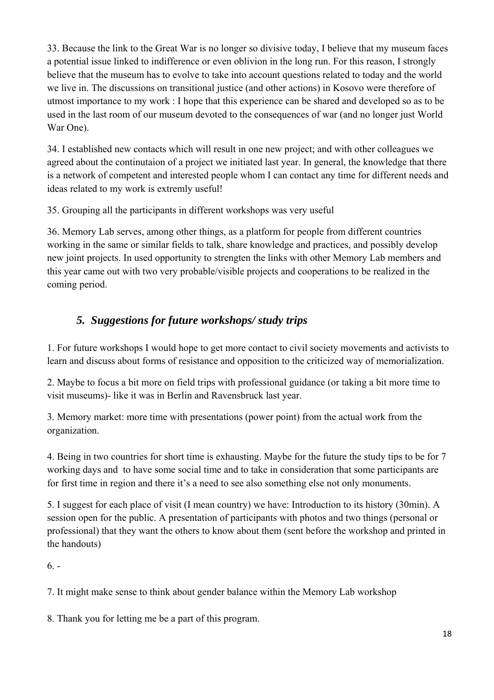33. Because the link to the Great War is no longer so divisive today, I believe that my museum faces a potential issue linked to indifference or even oblivion in the long run. For this reason, I strongly believe that the museum has to evolve to take into account questions related to today and the world we live in. The discussions on transitional justice (and other actions) in Kosovo were therefore of utmost importance to my work : I hope that this experience can be shared and developed so as to be used in the last room of our museum devoted to the consequences of war (and no longer just World War One).

34. I established new contacts which will result in one new project; and with other colleagues we agreed about the continutaion of a project we initiated last year. In general, the knowledge that there is a network of competent and interested people whom I can contact any time for different needs and ideas related to my work is extremly useful!

35. Grouping all the participants in different workshops was very useful

36. Memory Lab serves, among other things, as a platform for people from different countries working in the same or similar fields to talk, share knowledge and practices, and possibly develop new joint projects. In used opportunity to strengten the links with other Memory Lab members and this year came out with two very probable/visible projects and cooperations to be realized in the coming period.

#### *5. Suggestions for future workshops/ study trips*

1. For future workshops I would hope to get more contact to civil society movements and activists to learn and discuss about forms of resistance and opposition to the criticized way of memorialization.

2. Maybe to focus a bit more on field trips with professional guidance (or taking a bit more time to visit museums)- like it was in Berlin and Ravensbruck last year.

3. Memory market: more time with presentations (power point) from the actual work from the organization.

4. Being in two countries for short time is exhausting. Maybe for the future the study tips to be for 7 working days and to have some social time and to take in consideration that some participants are for first time in region and there it's a need to see also something else not only monuments.

5. I suggest for each place of visit (I mean country) we have: Introduction to its history (30min). A session open for the public. A presentation of participants with photos and two things (personal or professional) that they want the others to know about them (sent before the workshop and printed in the handouts)

 $6. -$ 

7. It might make sense to think about gender balance within the Memory Lab workshop

8. Thank you for letting me be a part of this program.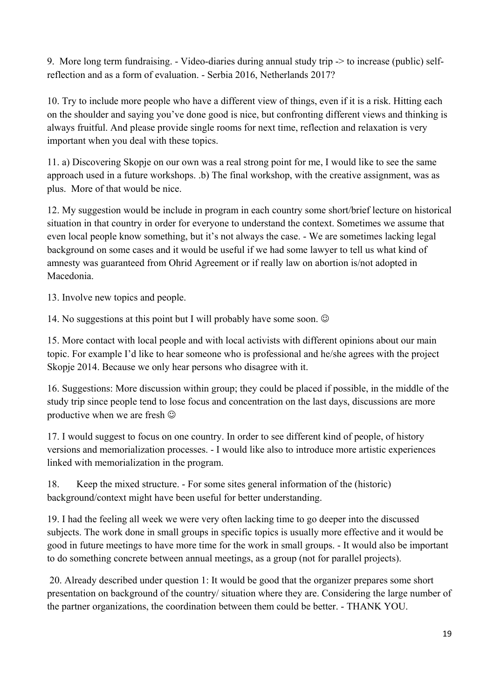9. More long term fundraising. - Video-diaries during annual study trip -> to increase (public) selfreflection and as a form of evaluation. - Serbia 2016, Netherlands 2017?

10. Try to include more people who have a different view of things, even if it is a risk. Hitting each on the shoulder and saying you've done good is nice, but confronting different views and thinking is always fruitful. And please provide single rooms for next time, reflection and relaxation is very important when you deal with these topics.

11. a) Discovering Skopje on our own was a real strong point for me, I would like to see the same approach used in a future workshops. .b) The final workshop, with the creative assignment, was as plus. More of that would be nice.

12. My suggestion would be include in program in each country some short/brief lecture on historical situation in that country in order for everyone to understand the context. Sometimes we assume that even local people know something, but it's not always the case. - We are sometimes lacking legal background on some cases and it would be useful if we had some lawyer to tell us what kind of amnesty was guaranteed from Ohrid Agreement or if really law on abortion is/not adopted in Macedonia.

13. Involve new topics and people.

14. No suggestions at this point but I will probably have some soon.  $\odot$ 

15. More contact with local people and with local activists with different opinions about our main topic. For example I'd like to hear someone who is professional and he/she agrees with the project Skopje 2014. Because we only hear persons who disagree with it.

16. Suggestions: More discussion within group; they could be placed if possible, in the middle of the study trip since people tend to lose focus and concentration on the last days, discussions are more productive when we are fresh  $\odot$ 

17. I would suggest to focus on one country. In order to see different kind of people, of history versions and memorialization processes. - I would like also to introduce more artistic experiences linked with memorialization in the program.

18. Keep the mixed structure. - For some sites general information of the (historic) background/context might have been useful for better understanding.

19. I had the feeling all week we were very often lacking time to go deeper into the discussed subjects. The work done in small groups in specific topics is usually more effective and it would be good in future meetings to have more time for the work in small groups. - It would also be important to do something concrete between annual meetings, as a group (not for parallel projects).

 20. Already described under question 1: It would be good that the organizer prepares some short presentation on background of the country/ situation where they are. Considering the large number of the partner organizations, the coordination between them could be better. - THANK YOU.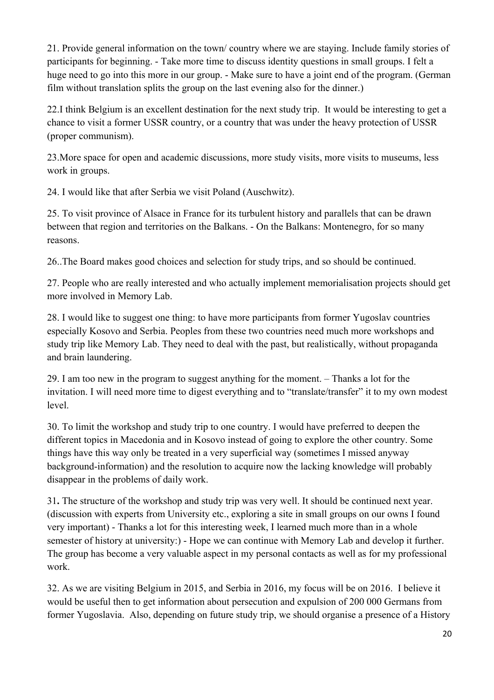21. Provide general information on the town/ country where we are staying. Include family stories of participants for beginning. - Take more time to discuss identity questions in small groups. I felt a huge need to go into this more in our group. - Make sure to have a joint end of the program. (German film without translation splits the group on the last evening also for the dinner.)

22.I think Belgium is an excellent destination for the next study trip. It would be interesting to get a chance to visit a former USSR country, or a country that was under the heavy protection of USSR (proper communism).

23.More space for open and academic discussions, more study visits, more visits to museums, less work in groups.

24. I would like that after Serbia we visit Poland (Auschwitz).

25. To visit province of Alsace in France for its turbulent history and parallels that can be drawn between that region and territories on the Balkans. - On the Balkans: Montenegro, for so many reasons.

26..The Board makes good choices and selection for study trips, and so should be continued.

27. People who are really interested and who actually implement memorialisation projects should get more involved in Memory Lab.

28. I would like to suggest one thing: to have more participants from former Yugoslav countries especially Kosovo and Serbia. Peoples from these two countries need much more workshops and study trip like Memory Lab. They need to deal with the past, but realistically, without propaganda and brain laundering.

29. I am too new in the program to suggest anything for the moment. – Thanks a lot for the invitation. I will need more time to digest everything and to "translate/transfer" it to my own modest level.

30. To limit the workshop and study trip to one country. I would have preferred to deepen the different topics in Macedonia and in Kosovo instead of going to explore the other country. Some things have this way only be treated in a very superficial way (sometimes I missed anyway background-information) and the resolution to acquire now the lacking knowledge will probably disappear in the problems of daily work.

31**.** The structure of the workshop and study trip was very well. It should be continued next year. (discussion with experts from University etc., exploring a site in small groups on our owns I found very important) - Thanks a lot for this interesting week, I learned much more than in a whole semester of history at university:) - Hope we can continue with Memory Lab and develop it further. The group has become a very valuable aspect in my personal contacts as well as for my professional work.

32. As we are visiting Belgium in 2015, and Serbia in 2016, my focus will be on 2016. I believe it would be useful then to get information about persecution and expulsion of 200 000 Germans from former Yugoslavia. Also, depending on future study trip, we should organise a presence of a History